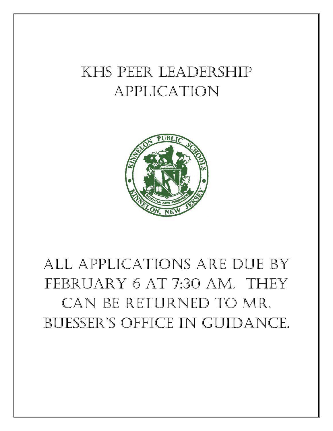## KHS Peer Leadership Application



# All applications are due by FEBRUARY 6 AT 7:30 AM. THEY can be returned to Mr. Buesser's office in guidance.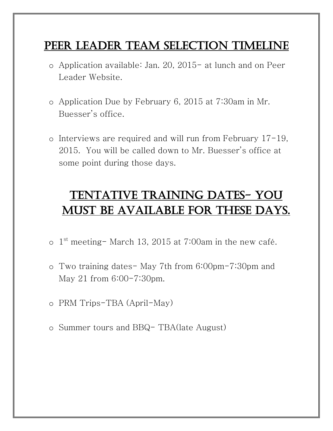### PEER LEADER TEAM SELECTION TIMELINE

- o Application available: Jan. 20, 2015- at lunch and on Peer Leader Website.
- o Application Due by February 6, 2015 at 7:30am in Mr. Buesser's office.
- o Interviews are required and will run from February 17-19, 2015. You will be called down to Mr. Buesser's office at some point during those days.

## Tentative Training Dates- you MUST BE AVAILABLE FOR THESE DAYS.

- $\circ$  1st meeting- March 13, 2015 at 7:00am in the new café.
- o Two training dates- May 7th from 6:00pm-7:30pm and May 21 from 6:00-7:30pm.
- o PRM Trips-TBA (April-May)
- o Summer tours and BBQ- TBA(late August)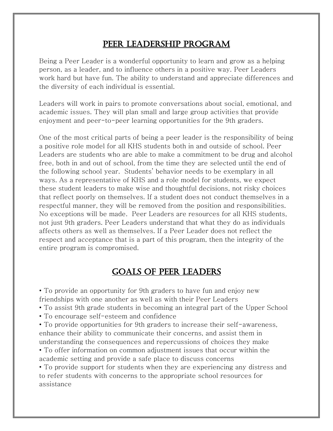#### Peer Leadership Program

Being a Peer Leader is a wonderful opportunity to learn and grow as a helping person, as a leader, and to influence others in a positive way. Peer Leaders work hard but have fun. The ability to understand and appreciate differences and the diversity of each individual is essential.

Leaders will work in pairs to promote conversations about social, emotional, and academic issues. They will plan small and large group activities that provide enjoyment and peer-to-peer learning opportunities for the 9th graders.

One of the most critical parts of being a peer leader is the responsibility of being a positive role model for all KHS students both in and outside of school. Peer Leaders are students who are able to make a commitment to be drug and alcohol free, both in and out of school, from the time they are selected until the end of the following school year. Students' behavior needs to be exemplary in all ways. As a representative of KHS and a role model for students, we expect these student leaders to make wise and thoughtful decisions, not risky choices that reflect poorly on themselves. If a student does not conduct themselves in a respectful manner, they will be removed from the position and responsibilities. No exceptions will be made. Peer Leaders are resources for all KHS students, not just 9th graders. Peer Leaders understand that what they do as individuals affects others as well as themselves. If a Peer Leader does not reflect the respect and acceptance that is a part of this program, then the integrity of the entire program is compromised.

#### Goals of Peer Leaders

• To provide an opportunity for 9th graders to have fun and enjoy new friendships with one another as well as with their Peer Leaders

- To assist 9th grade students in becoming an integral part of the Upper School
- To encourage self-esteem and confidence

• To provide opportunities for 9th graders to increase their self-awareness, enhance their ability to communicate their concerns, and assist them in understanding the consequences and repercussions of choices they make

• To offer information on common adjustment issues that occur within the academic setting and provide a safe place to discuss concerns

• To provide support for students when they are experiencing any distress and to refer students with concerns to the appropriate school resources for assistance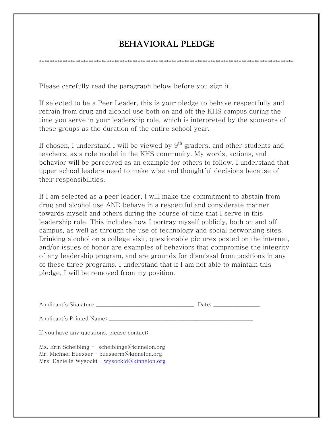#### BEHAVIORAL PLEDGE

\*\*\*\*\*\*\*\*\*\*\*\*\*\*\*\*\*\*\*\*\*\*\*\*\*\*\*\*\*\*\*\*\*\*\*\*\*\*\*\*\*\*\*\*\*\*\*\*\*\*\*\*\*\*\*\*\*\*\*\*\*\*\*\*\*\*\*\*\*\*\*\*\*\*\*\*\*\*\*\*\*\*\*\*\*\*\*\*\*\*\*\*\*\*\*\*\*\*

Please carefully read the paragraph below before you sign it.

If selected to be a Peer Leader, this is your pledge to behave respectfully and refrain from drug and alcohol use both on and off the KHS campus during the time you serve in your leadership role, which is interpreted by the sponsors of these groups as the duration of the entire school year.

If chosen, I understand I will be viewed by  $9<sup>th</sup>$  graders, and other students and teachers, as a role model in the KHS community. My words, actions, and behavior will be perceived as an example for others to follow. I understand that upper school leaders need to make wise and thoughtful decisions because of their responsibilities.

If I am selected as a peer leader, I will make the commitment to abstain from drug and alcohol use AND behave in a respectful and considerate manner towards myself and others during the course of time that I serve in this leadership role. This includes how I portray myself publicly, both on and off campus, as well as through the use of technology and social networking sites. Drinking alcohol on a college visit, questionable pictures posted on the internet, and/or issues of honor are examples of behaviors that compromise the integrity of any leadership program, and are grounds for dismissal from positions in any of these three programs. I understand that if I am not able to maintain this pledge, I will be removed from my position.

|                                                                                                                                                | Date: the contract of the contract of the contract of the contract of the contract of the contract of the contract of the contract of the contract of the contract of the contract of the contract of the contract of the cont |  |
|------------------------------------------------------------------------------------------------------------------------------------------------|--------------------------------------------------------------------------------------------------------------------------------------------------------------------------------------------------------------------------------|--|
| Applicant's Printed Name: ___________                                                                                                          |                                                                                                                                                                                                                                |  |
| If you have any questions, please contact:                                                                                                     |                                                                                                                                                                                                                                |  |
| Ms. Erin Scheibling - scheiblinge@kinnelon.org<br>Mr. Michael Buesser – buesserm@kinnelon.org<br>Mrs. Danielle Wysocki - wysockid@kinnelon.org |                                                                                                                                                                                                                                |  |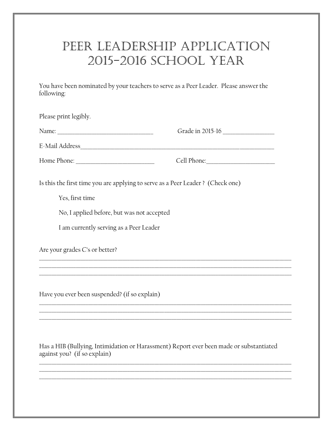## PEER LEADERSHIP APPLICATION 2015-2016 SCHOOL YEAR

You have been nominated by your teachers to serve as a Peer Leader. Please answer the following:

| Please print legibly.                                                          |                  |  |
|--------------------------------------------------------------------------------|------------------|--|
|                                                                                | Grade in 2015-16 |  |
|                                                                                |                  |  |
|                                                                                |                  |  |
| Is this the first time you are applying to serve as a Peer Leader? (Check one) |                  |  |
| Yes, first time                                                                |                  |  |
| No, I applied before, but was not accepted                                     |                  |  |
| I am currently serving as a Peer Leader                                        |                  |  |
| Are your grades C's or better?                                                 |                  |  |
|                                                                                |                  |  |
| Have you ever been suspended? (if so explain)                                  |                  |  |
|                                                                                |                  |  |
|                                                                                |                  |  |

Has a HIB (Bullying, Intimidation or Harassment) Report ever been made or substantiated against you? (if so explain)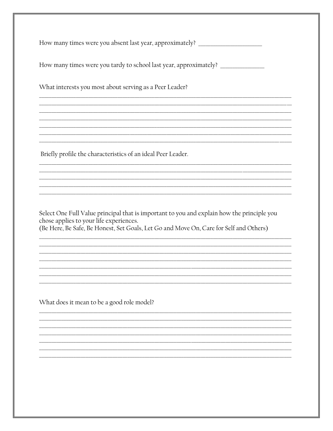Select One Full Value principal that is important to you and explain how the principle you chose applies to your life experiences. (Be Here, Be Safe, Be Honest, Set Goals, Let Go and Move On, Care for Self and Others)

What does it mean to be a good role model?